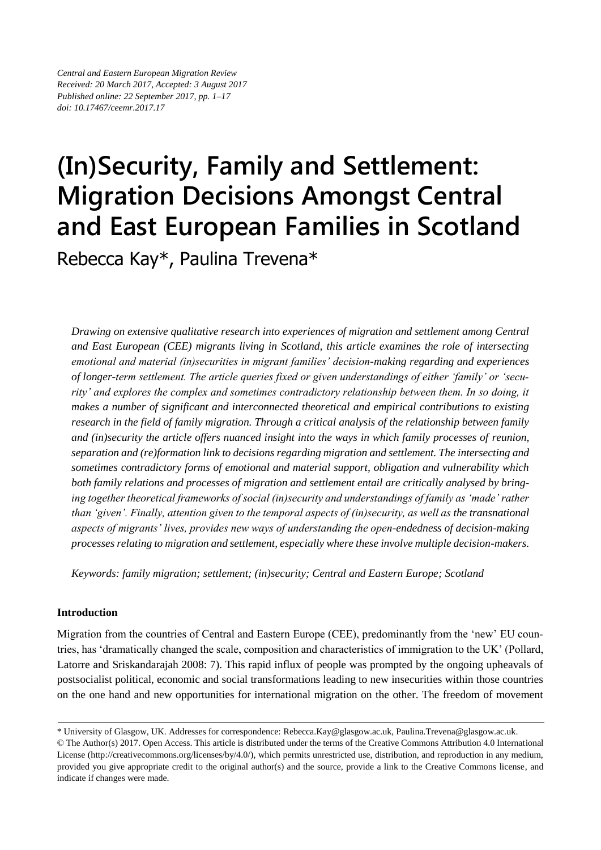*Central and Eastern European Migration Review Received: 20 March 2017, Accepted: 3 August 2017 Published online: 22 September 2017, pp. 1–17 doi: 10.17467/ceemr.2017.17*

# **(In)Security, Family and Settlement: Migration Decisions Amongst Central and East European Families in Scotland**

Rebecca Kay\*, Paulina Trevena\*

*Drawing on extensive qualitative research into experiences of migration and settlement among Central and East European (CEE) migrants living in Scotland, this article examines the role of intersecting emotional and material (in)securities in migrant families' decision-making regarding and experiences of longer-term settlement. The article queries fixed or given understandings of either 'family' or 'security' and explores the complex and sometimes contradictory relationship between them. In so doing, it makes a number of significant and interconnected theoretical and empirical contributions to existing research in the field of family migration. Through a critical analysis of the relationship between family and (in)security the article offers nuanced insight into the ways in which family processes of reunion, separation and (re)formation link to decisions regarding migration and settlement. The intersecting and sometimes contradictory forms of emotional and material support, obligation and vulnerability which both family relations and processes of migration and settlement entail are critically analysed by bringing together theoretical frameworks of social (in)security and understandings of family as 'made' rather than 'given'. Finally, attention given to the temporal aspects of (in)security, as well as the transnational aspects of migrants' lives, provides new ways of understanding the open-endedness of decision-making processes relating to migration and settlement, especially where these involve multiple decision-makers.*

*Keywords: family migration; settlement; (in)security; Central and Eastern Europe; Scotland* 

## **Introduction**

Migration from the countries of Central and Eastern Europe (CEE), predominantly from the 'new' EU countries, has 'dramatically changed the scale, composition and characteristics of immigration to the UK' (Pollard, Latorre and Sriskandarajah 2008: 7). This rapid influx of people was prompted by the ongoing upheavals of postsocialist political, economic and social transformations leading to new insecurities within those countries on the one hand and new opportunities for international migration on the other. The freedom of movement

<sup>\*</sup> University of Glasgow, UK. Addresses for correspondence: Rebecca.Kay@glasgow.ac.uk, Paulina.Trevena@glasgow.ac.uk.

<sup>©</sup> The Author(s) 2017. Open Access. This article is distributed under the terms of the Creative Commons Attribution 4.0 International License [\(http://creativecommons.org/licenses/by/4.0/\)](http://creativecommons.org/licenses/by/4.0/), which permits unrestricted use, distribution, and reproduction in any medium, provided you give appropriate credit to the original author(s) and the source, provide a link to the Creative Commons license, and indicate if changes were made.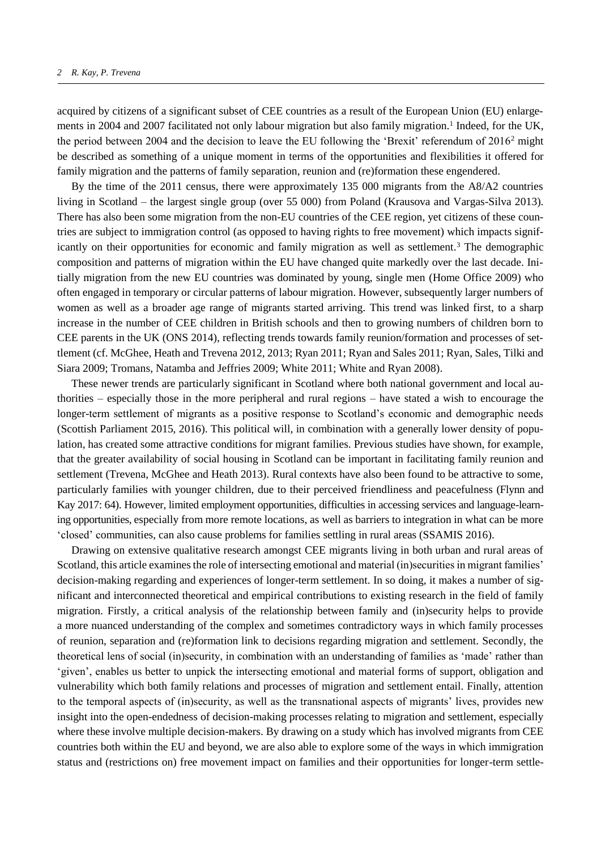acquired by citizens of a significant subset of CEE countries as a result of the European Union (EU) enlargements in 2004 and 2007 facilitated not only labour migration but also family migration.<sup>1</sup> Indeed, for the UK, the period between 2004 and the decision to leave the EU following the 'Brexit' referendum of 2016<sup>2</sup> might be described as something of a unique moment in terms of the opportunities and flexibilities it offered for family migration and the patterns of family separation, reunion and (re)formation these engendered.

By the time of the 2011 census, there were approximately 135 000 migrants from the A8/A2 countries living in Scotland – the largest single group (over 55 000) from Poland (Krausova and Vargas-Silva 2013). There has also been some migration from the non-EU countries of the CEE region, yet citizens of these countries are subject to immigration control (as opposed to having rights to free movement) which impacts significantly on their opportunities for economic and family migration as well as settlement.<sup>3</sup> The demographic composition and patterns of migration within the EU have changed quite markedly over the last decade. Initially migration from the new EU countries was dominated by young, single men (Home Office 2009) who often engaged in temporary or circular patterns of labour migration. However, subsequently larger numbers of women as well as a broader age range of migrants started arriving. This trend was linked first, to a sharp increase in the number of CEE children in British schools and then to growing numbers of children born to CEE parents in the UK (ONS 2014), reflecting trends towards family reunion/formation and processes of settlement (cf. McGhee, Heath and Trevena 2012, 2013; Ryan 2011; Ryan and Sales 2011; Ryan, Sales, Tilki and Siara 2009; Tromans, Natamba and Jeffries 2009; White 2011; White and Ryan 2008).

These newer trends are particularly significant in Scotland where both national government and local authorities – especially those in the more peripheral and rural regions – have stated a wish to encourage the longer-term settlement of migrants as a positive response to Scotland's economic and demographic needs (Scottish Parliament 2015, 2016). This political will, in combination with a generally lower density of population, has created some attractive conditions for migrant families. Previous studies have shown, for example, that the greater availability of social housing in Scotland can be important in facilitating family reunion and settlement (Trevena, McGhee and Heath 2013). Rural contexts have also been found to be attractive to some, particularly families with younger children, due to their perceived friendliness and peacefulness (Flynn and Kay 2017: 64). However, limited employment opportunities, difficulties in accessing services and language-learning opportunities, especially from more remote locations, as well as barriers to integration in what can be more 'closed' communities, can also cause problems for families settling in rural areas (SSAMIS 2016).

Drawing on extensive qualitative research amongst CEE migrants living in both urban and rural areas of Scotland, this article examines the role of intersecting emotional and material (in)securities in migrant families' decision-making regarding and experiences of longer-term settlement. In so doing, it makes a number of significant and interconnected theoretical and empirical contributions to existing research in the field of family migration. Firstly, a critical analysis of the relationship between family and (in)security helps to provide a more nuanced understanding of the complex and sometimes contradictory ways in which family processes of reunion, separation and (re)formation link to decisions regarding migration and settlement. Secondly, the theoretical lens of social (in)security, in combination with an understanding of families as 'made' rather than 'given', enables us better to unpick the intersecting emotional and material forms of support, obligation and vulnerability which both family relations and processes of migration and settlement entail. Finally, attention to the temporal aspects of (in)security, as well as the transnational aspects of migrants' lives, provides new insight into the open-endedness of decision-making processes relating to migration and settlement, especially where these involve multiple decision-makers. By drawing on a study which has involved migrants from CEE countries both within the EU and beyond, we are also able to explore some of the ways in which immigration status and (restrictions on) free movement impact on families and their opportunities for longer-term settle-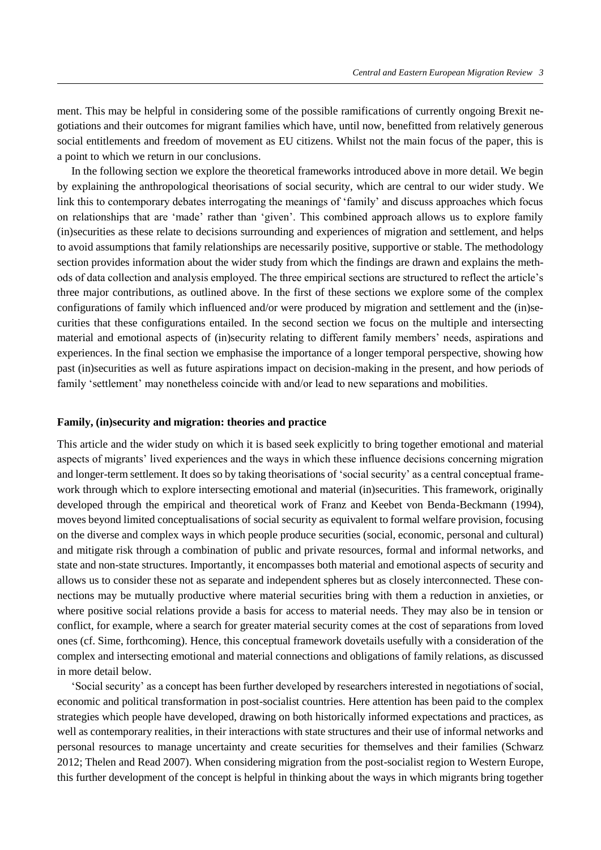ment. This may be helpful in considering some of the possible ramifications of currently ongoing Brexit negotiations and their outcomes for migrant families which have, until now, benefitted from relatively generous social entitlements and freedom of movement as EU citizens. Whilst not the main focus of the paper, this is a point to which we return in our conclusions.

In the following section we explore the theoretical frameworks introduced above in more detail. We begin by explaining the anthropological theorisations of social security, which are central to our wider study. We link this to contemporary debates interrogating the meanings of 'family' and discuss approaches which focus on relationships that are 'made' rather than 'given'. This combined approach allows us to explore family (in)securities as these relate to decisions surrounding and experiences of migration and settlement, and helps to avoid assumptions that family relationships are necessarily positive, supportive or stable. The methodology section provides information about the wider study from which the findings are drawn and explains the methods of data collection and analysis employed. The three empirical sections are structured to reflect the article's three major contributions, as outlined above. In the first of these sections we explore some of the complex configurations of family which influenced and/or were produced by migration and settlement and the (in)securities that these configurations entailed. In the second section we focus on the multiple and intersecting material and emotional aspects of (in)security relating to different family members' needs, aspirations and experiences. In the final section we emphasise the importance of a longer temporal perspective, showing how past (in)securities as well as future aspirations impact on decision-making in the present, and how periods of family 'settlement' may nonetheless coincide with and/or lead to new separations and mobilities.

### **Family, (in)security and migration: theories and practice**

This article and the wider study on which it is based seek explicitly to bring together emotional and material aspects of migrants' lived experiences and the ways in which these influence decisions concerning migration and longer-term settlement. It does so by taking theorisations of 'social security' as a central conceptual framework through which to explore intersecting emotional and material (in)securities. This framework, originally developed through the empirical and theoretical work of Franz and Keebet von Benda-Beckmann (1994), moves beyond limited conceptualisations of social security as equivalent to formal welfare provision, focusing on the diverse and complex ways in which people produce securities (social, economic, personal and cultural) and mitigate risk through a combination of public and private resources, formal and informal networks, and state and non-state structures. Importantly, it encompasses both material and emotional aspects of security and allows us to consider these not as separate and independent spheres but as closely interconnected. These connections may be mutually productive where material securities bring with them a reduction in anxieties, or where positive social relations provide a basis for access to material needs. They may also be in tension or conflict, for example, where a search for greater material security comes at the cost of separations from loved ones (cf. Sime, forthcoming). Hence, this conceptual framework dovetails usefully with a consideration of the complex and intersecting emotional and material connections and obligations of family relations, as discussed in more detail below.

'Social security' as a concept has been further developed by researchers interested in negotiations of social, economic and political transformation in post-socialist countries. Here attention has been paid to the complex strategies which people have developed, drawing on both historically informed expectations and practices, as well as contemporary realities, in their interactions with state structures and their use of informal networks and personal resources to manage uncertainty and create securities for themselves and their families (Schwarz 2012; Thelen and Read 2007). When considering migration from the post-socialist region to Western Europe, this further development of the concept is helpful in thinking about the ways in which migrants bring together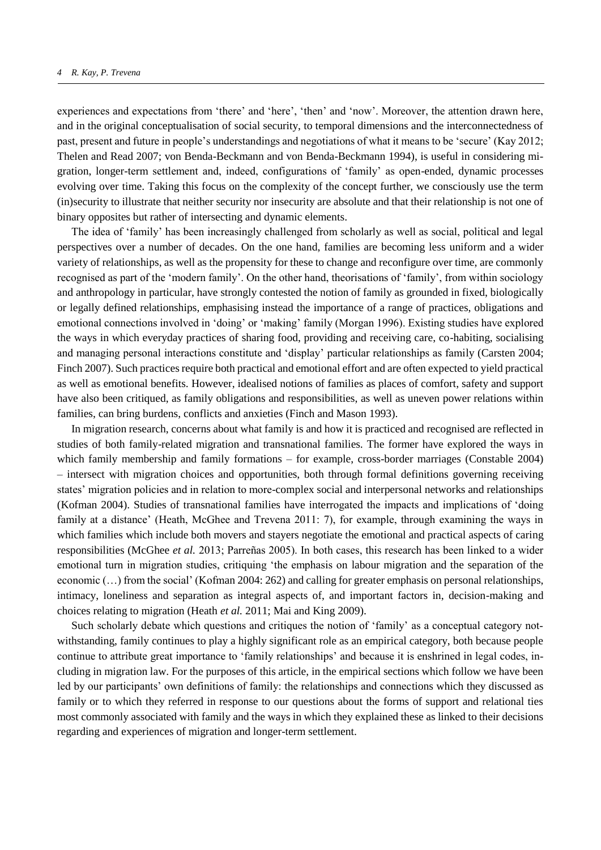experiences and expectations from 'there' and 'here', 'then' and 'now'. Moreover, the attention drawn here, and in the original conceptualisation of social security, to temporal dimensions and the interconnectedness of past, present and future in people's understandings and negotiations of what it means to be 'secure' (Kay 2012; Thelen and Read 2007; von Benda-Beckmann and von Benda-Beckmann 1994), is useful in considering migration, longer-term settlement and, indeed, configurations of 'family' as open-ended, dynamic processes evolving over time. Taking this focus on the complexity of the concept further, we consciously use the term (in)security to illustrate that neither security nor insecurity are absolute and that their relationship is not one of binary opposites but rather of intersecting and dynamic elements.

The idea of 'family' has been increasingly challenged from scholarly as well as social, political and legal perspectives over a number of decades. On the one hand, families are becoming less uniform and a wider variety of relationships, as well as the propensity for these to change and reconfigure over time, are commonly recognised as part of the 'modern family'. On the other hand, theorisations of 'family', from within sociology and anthropology in particular, have strongly contested the notion of family as grounded in fixed, biologically or legally defined relationships, emphasising instead the importance of a range of practices, obligations and emotional connections involved in 'doing' or 'making' family (Morgan 1996). Existing studies have explored the ways in which everyday practices of sharing food, providing and receiving care, co-habiting, socialising and managing personal interactions constitute and 'display' particular relationships as family (Carsten 2004; Finch 2007). Such practices require both practical and emotional effort and are often expected to yield practical as well as emotional benefits. However, idealised notions of families as places of comfort, safety and support have also been critiqued, as family obligations and responsibilities, as well as uneven power relations within families, can bring burdens, conflicts and anxieties (Finch and Mason 1993).

In migration research, concerns about what family is and how it is practiced and recognised are reflected in studies of both family-related migration and transnational families. The former have explored the ways in which family membership and family formations – for example, cross-border marriages (Constable 2004) – intersect with migration choices and opportunities, both through formal definitions governing receiving states' migration policies and in relation to more-complex social and interpersonal networks and relationships (Kofman 2004). Studies of transnational families have interrogated the impacts and implications of 'doing family at a distance' (Heath, McGhee and Trevena 2011: 7), for example, through examining the ways in which families which include both movers and stayers negotiate the emotional and practical aspects of caring responsibilities (McGhee *et al.* 2013; Parreñas 2005). In both cases, this research has been linked to a wider emotional turn in migration studies, critiquing 'the emphasis on labour migration and the separation of the economic (…) from the social' (Kofman 2004: 262) and calling for greater emphasis on personal relationships, intimacy, loneliness and separation as integral aspects of, and important factors in, decision-making and choices relating to migration (Heath *et al.* 2011; Mai and King 2009).

Such scholarly debate which questions and critiques the notion of 'family' as a conceptual category notwithstanding, family continues to play a highly significant role as an empirical category, both because people continue to attribute great importance to 'family relationships' and because it is enshrined in legal codes, including in migration law. For the purposes of this article, in the empirical sections which follow we have been led by our participants' own definitions of family: the relationships and connections which they discussed as family or to which they referred in response to our questions about the forms of support and relational ties most commonly associated with family and the ways in which they explained these as linked to their decisions regarding and experiences of migration and longer-term settlement.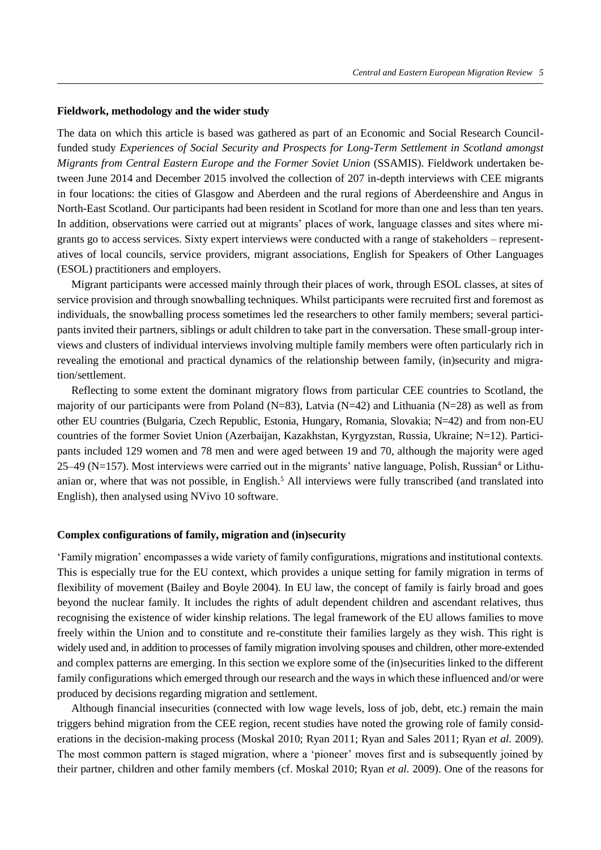#### **Fieldwork, methodology and the wider study**

The data on which this article is based was gathered as part of an Economic and Social Research Councilfunded study *Experiences of Social Security and Prospects for Long-Term Settlement in Scotland amongst Migrants from Central Eastern Europe and the Former Soviet Union* (SSAMIS). Fieldwork undertaken between June 2014 and December 2015 involved the collection of 207 in-depth interviews with CEE migrants in four locations: the cities of Glasgow and Aberdeen and the rural regions of Aberdeenshire and Angus in North-East Scotland. Our participants had been resident in Scotland for more than one and less than ten years. In addition, observations were carried out at migrants' places of work, language classes and sites where migrants go to access services. Sixty expert interviews were conducted with a range of stakeholders – representatives of local councils, service providers, migrant associations, English for Speakers of Other Languages (ESOL) practitioners and employers.

Migrant participants were accessed mainly through their places of work, through ESOL classes, at sites of service provision and through snowballing techniques. Whilst participants were recruited first and foremost as individuals, the snowballing process sometimes led the researchers to other family members; several participants invited their partners, siblings or adult children to take part in the conversation. These small-group interviews and clusters of individual interviews involving multiple family members were often particularly rich in revealing the emotional and practical dynamics of the relationship between family, (in)security and migration/settlement.

Reflecting to some extent the dominant migratory flows from particular CEE countries to Scotland, the majority of our participants were from Poland (N=83), Latvia (N=42) and Lithuania (N=28) as well as from other EU countries (Bulgaria, Czech Republic, Estonia, Hungary, Romania, Slovakia; N=42) and from non-EU countries of the former Soviet Union (Azerbaijan, Kazakhstan, Kyrgyzstan, Russia, Ukraine; N=12). Participants included 129 women and 78 men and were aged between 19 and 70, although the majority were aged  $25-49$  (N=157). Most interviews were carried out in the migrants' native language, Polish, Russian<sup>4</sup> or Lithuanian or, where that was not possible, in English.<sup>5</sup> All interviews were fully transcribed (and translated into English), then analysed using NVivo 10 software.

#### **Complex configurations of family, migration and (in)security**

'Family migration' encompasses a wide variety of family configurations, migrations and institutional contexts. This is especially true for the EU context, which provides a unique setting for family migration in terms of flexibility of movement (Bailey and Boyle 2004). In EU law, the concept of family is fairly broad and goes beyond the nuclear family. It includes the rights of adult dependent children and ascendant relatives, thus recognising the existence of wider kinship relations. The legal framework of the EU allows families to move freely within the Union and to constitute and re-constitute their families largely as they wish. This right is widely used and, in addition to processes of family migration involving spouses and children, other more-extended and complex patterns are emerging. In this section we explore some of the (in)securities linked to the different family configurations which emerged through our research and the ways in which these influenced and/or were produced by decisions regarding migration and settlement.

Although financial insecurities (connected with low wage levels, loss of job, debt, etc.) remain the main triggers behind migration from the CEE region, recent studies have noted the growing role of family considerations in the decision-making process (Moskal 2010; Ryan 2011; Ryan and Sales 2011; Ryan *et al.* 2009). The most common pattern is staged migration, where a 'pioneer' moves first and is subsequently joined by their partner, children and other family members (cf. Moskal 2010; Ryan *et al.* 2009). One of the reasons for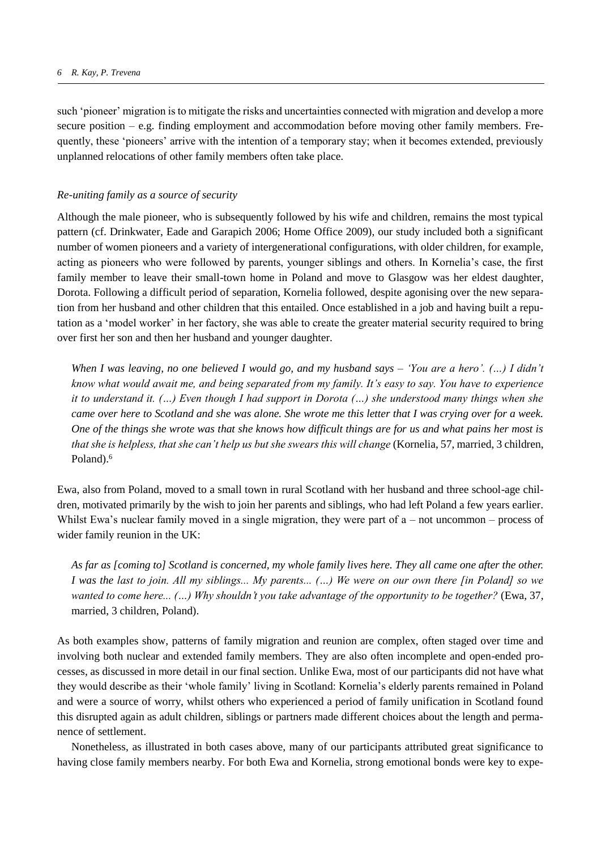such 'pioneer' migration is to mitigate the risks and uncertainties connected with migration and develop a more secure position – e.g. finding employment and accommodation before moving other family members. Frequently, these 'pioneers' arrive with the intention of a temporary stay; when it becomes extended, previously unplanned relocations of other family members often take place.

## *Re-uniting family as a source of security*

Although the male pioneer, who is subsequently followed by his wife and children, remains the most typical pattern (cf. Drinkwater, Eade and Garapich 2006; Home Office 2009), our study included both a significant number of women pioneers and a variety of intergenerational configurations, with older children, for example, acting as pioneers who were followed by parents, younger siblings and others. In Kornelia's case, the first family member to leave their small-town home in Poland and move to Glasgow was her eldest daughter, Dorota. Following a difficult period of separation, Kornelia followed, despite agonising over the new separation from her husband and other children that this entailed. Once established in a job and having built a reputation as a 'model worker' in her factory, she was able to create the greater material security required to bring over first her son and then her husband and younger daughter.

*When I was leaving, no one believed I would go, and my husband says – 'You are a hero'. (…) I didn't know what would await me, and being separated from my family. It's easy to say. You have to experience it to understand it. (…) Even though I had support in Dorota (…) she understood many things when she came over here to Scotland and she was alone. She wrote me this letter that I was crying over for a week. One of the things she wrote was that she knows how difficult things are for us and what pains her most is that she is helpless, that she can't help us but she swears this will change* (Kornelia, 57, married, 3 children, Poland).<sup>6</sup>

Ewa, also from Poland, moved to a small town in rural Scotland with her husband and three school-age children, motivated primarily by the wish to join her parents and siblings, who had left Poland a few years earlier. Whilst Ewa's nuclear family moved in a single migration, they were part of a – not uncommon – process of wider family reunion in the UK:

*As far as [coming to] Scotland is concerned, my whole family lives here. They all came one after the other. I was the last to join. All my siblings... My parents... (…) We were on our own there [in Poland] so we wanted to come here... (…) Why shouldn't you take advantage of the opportunity to be together?* (Ewa, 37, married, 3 children, Poland).

As both examples show, patterns of family migration and reunion are complex, often staged over time and involving both nuclear and extended family members. They are also often incomplete and open-ended processes, as discussed in more detail in our final section. Unlike Ewa, most of our participants did not have what they would describe as their 'whole family' living in Scotland: Kornelia's elderly parents remained in Poland and were a source of worry, whilst others who experienced a period of family unification in Scotland found this disrupted again as adult children, siblings or partners made different choices about the length and permanence of settlement.

Nonetheless, as illustrated in both cases above, many of our participants attributed great significance to having close family members nearby. For both Ewa and Kornelia, strong emotional bonds were key to expe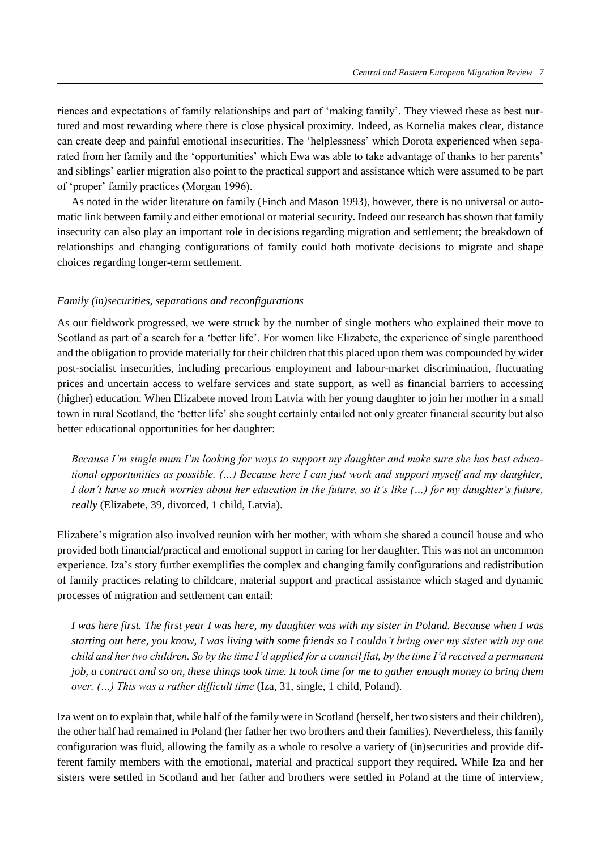riences and expectations of family relationships and part of 'making family'. They viewed these as best nurtured and most rewarding where there is close physical proximity. Indeed, as Kornelia makes clear, distance can create deep and painful emotional insecurities. The 'helplessness' which Dorota experienced when separated from her family and the 'opportunities' which Ewa was able to take advantage of thanks to her parents' and siblings' earlier migration also point to the practical support and assistance which were assumed to be part of 'proper' family practices (Morgan 1996).

As noted in the wider literature on family (Finch and Mason 1993), however, there is no universal or automatic link between family and either emotional or material security. Indeed our research has shown that family insecurity can also play an important role in decisions regarding migration and settlement; the breakdown of relationships and changing configurations of family could both motivate decisions to migrate and shape choices regarding longer-term settlement.

## *Family (in)securities, separations and reconfigurations*

As our fieldwork progressed, we were struck by the number of single mothers who explained their move to Scotland as part of a search for a 'better life'. For women like Elizabete, the experience of single parenthood and the obligation to provide materially for their children that this placed upon them was compounded by wider post-socialist insecurities, including precarious employment and labour-market discrimination, fluctuating prices and uncertain access to welfare services and state support, as well as financial barriers to accessing (higher) education. When Elizabete moved from Latvia with her young daughter to join her mother in a small town in rural Scotland, the 'better life' she sought certainly entailed not only greater financial security but also better educational opportunities for her daughter:

*Because I'm single mum I'm looking for ways to support my daughter and make sure she has best educational opportunities as possible. (…) Because here I can just work and support myself and my daughter, I don't have so much worries about her education in the future, so it's like (…) for my daughter's future, really* (Elizabete, 39, divorced, 1 child, Latvia).

Elizabete's migration also involved reunion with her mother, with whom she shared a council house and who provided both financial/practical and emotional support in caring for her daughter. This was not an uncommon experience. Iza's story further exemplifies the complex and changing family configurations and redistribution of family practices relating to childcare, material support and practical assistance which staged and dynamic processes of migration and settlement can entail:

*I was here first. The first year I was here, my daughter was with my sister in Poland. Because when I was starting out here, you know, I was living with some friends so I couldn't bring over my sister with my one child and her two children. So by the time I'd applied for a council flat, by the time I'd received a permanent job, a contract and so on, these things took time. It took time for me to gather enough money to bring them over. (…) This was a rather difficult time* (Iza, 31, single, 1 child, Poland).

Iza went on to explain that, while half of the family were in Scotland (herself, her two sisters and their children), the other half had remained in Poland (her father her two brothers and their families). Nevertheless, this family configuration was fluid, allowing the family as a whole to resolve a variety of (in)securities and provide different family members with the emotional, material and practical support they required. While Iza and her sisters were settled in Scotland and her father and brothers were settled in Poland at the time of interview,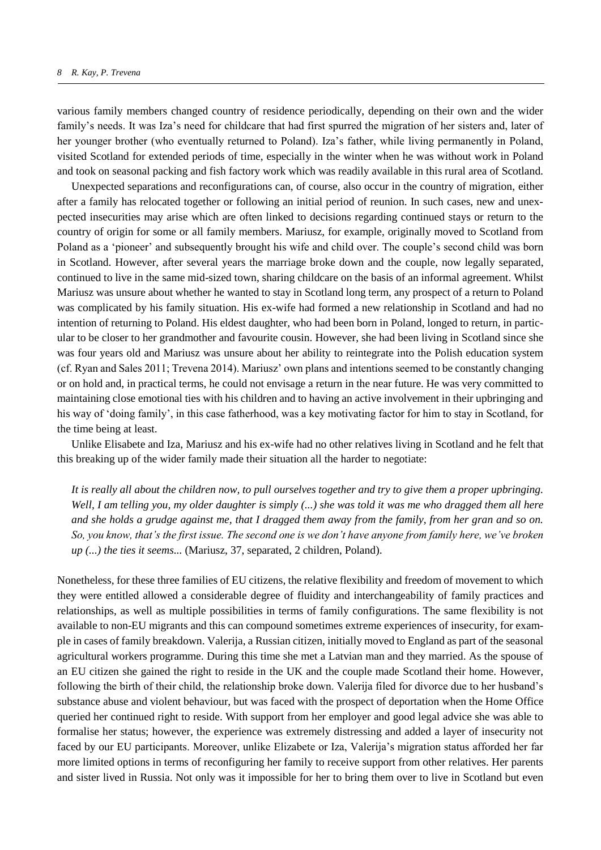various family members changed country of residence periodically, depending on their own and the wider family's needs. It was Iza's need for childcare that had first spurred the migration of her sisters and, later of her younger brother (who eventually returned to Poland). Iza's father, while living permanently in Poland, visited Scotland for extended periods of time, especially in the winter when he was without work in Poland and took on seasonal packing and fish factory work which was readily available in this rural area of Scotland.

Unexpected separations and reconfigurations can, of course, also occur in the country of migration, either after a family has relocated together or following an initial period of reunion. In such cases, new and unexpected insecurities may arise which are often linked to decisions regarding continued stays or return to the country of origin for some or all family members. Mariusz, for example, originally moved to Scotland from Poland as a 'pioneer' and subsequently brought his wife and child over. The couple's second child was born in Scotland. However, after several years the marriage broke down and the couple, now legally separated, continued to live in the same mid-sized town, sharing childcare on the basis of an informal agreement. Whilst Mariusz was unsure about whether he wanted to stay in Scotland long term, any prospect of a return to Poland was complicated by his family situation. His ex-wife had formed a new relationship in Scotland and had no intention of returning to Poland. His eldest daughter, who had been born in Poland, longed to return, in particular to be closer to her grandmother and favourite cousin. However, she had been living in Scotland since she was four years old and Mariusz was unsure about her ability to reintegrate into the Polish education system (cf. Ryan and Sales 2011; Trevena 2014). Mariusz' own plans and intentions seemed to be constantly changing or on hold and, in practical terms, he could not envisage a return in the near future. He was very committed to maintaining close emotional ties with his children and to having an active involvement in their upbringing and his way of 'doing family', in this case fatherhood, was a key motivating factor for him to stay in Scotland, for the time being at least.

Unlike Elisabete and Iza, Mariusz and his ex-wife had no other relatives living in Scotland and he felt that this breaking up of the wider family made their situation all the harder to negotiate:

*It is really all about the children now, to pull ourselves together and try to give them a proper upbringing. Well, I am telling you, my older daughter is simply (...) she was told it was me who dragged them all here and she holds a grudge against me, that I dragged them away from the family, from her gran and so on. So, you know, that's the first issue. The second one is we don't have anyone from family here, we've broken up (...) the ties it seems...* (Mariusz, 37, separated, 2 children, Poland).

Nonetheless, for these three families of EU citizens, the relative flexibility and freedom of movement to which they were entitled allowed a considerable degree of fluidity and interchangeability of family practices and relationships, as well as multiple possibilities in terms of family configurations. The same flexibility is not available to non-EU migrants and this can compound sometimes extreme experiences of insecurity, for example in cases of family breakdown. Valerija, a Russian citizen, initially moved to England as part of the seasonal agricultural workers programme. During this time she met a Latvian man and they married. As the spouse of an EU citizen she gained the right to reside in the UK and the couple made Scotland their home. However, following the birth of their child, the relationship broke down. Valerija filed for divorce due to her husband's substance abuse and violent behaviour, but was faced with the prospect of deportation when the Home Office queried her continued right to reside. With support from her employer and good legal advice she was able to formalise her status; however, the experience was extremely distressing and added a layer of insecurity not faced by our EU participants. Moreover, unlike Elizabete or Iza, Valerija's migration status afforded her far more limited options in terms of reconfiguring her family to receive support from other relatives. Her parents and sister lived in Russia. Not only was it impossible for her to bring them over to live in Scotland but even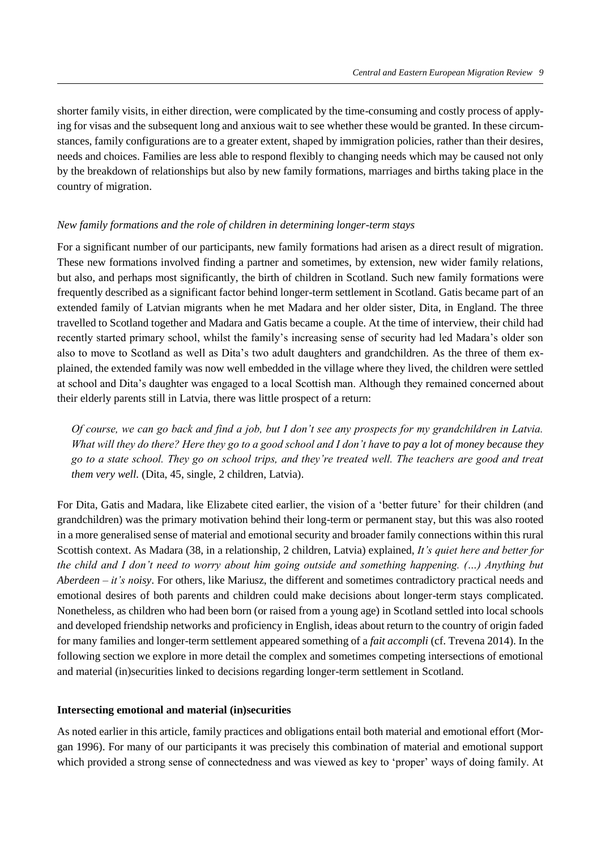shorter family visits, in either direction, were complicated by the time-consuming and costly process of applying for visas and the subsequent long and anxious wait to see whether these would be granted. In these circumstances, family configurations are to a greater extent, shaped by immigration policies, rather than their desires, needs and choices. Families are less able to respond flexibly to changing needs which may be caused not only by the breakdown of relationships but also by new family formations, marriages and births taking place in the country of migration.

## *New family formations and the role of children in determining longer-term stays*

For a significant number of our participants, new family formations had arisen as a direct result of migration. These new formations involved finding a partner and sometimes, by extension, new wider family relations, but also, and perhaps most significantly, the birth of children in Scotland. Such new family formations were frequently described as a significant factor behind longer-term settlement in Scotland. Gatis became part of an extended family of Latvian migrants when he met Madara and her older sister, Dita, in England. The three travelled to Scotland together and Madara and Gatis became a couple. At the time of interview, their child had recently started primary school, whilst the family's increasing sense of security had led Madara's older son also to move to Scotland as well as Dita's two adult daughters and grandchildren. As the three of them explained, the extended family was now well embedded in the village where they lived, the children were settled at school and Dita's daughter was engaged to a local Scottish man. Although they remained concerned about their elderly parents still in Latvia, there was little prospect of a return:

*Of course, we can go back and find a job, but I don't see any prospects for my grandchildren in Latvia. What will they do there? Here they go to a good school and I don't have to pay a lot of money because they go to a state school. They go on school trips, and they're treated well. The teachers are good and treat them very well.* (Dita, 45, single, 2 children, Latvia).

For Dita, Gatis and Madara, like Elizabete cited earlier, the vision of a 'better future' for their children (and grandchildren) was the primary motivation behind their long-term or permanent stay, but this was also rooted in a more generalised sense of material and emotional security and broader family connections within this rural Scottish context. As Madara (38, in a relationship, 2 children, Latvia) explained, *It's quiet here and better for the child and I don't need to worry about him going outside and something happening. (…) Anything but Aberdeen – it's noisy*. For others, like Mariusz, the different and sometimes contradictory practical needs and emotional desires of both parents and children could make decisions about longer-term stays complicated. Nonetheless, as children who had been born (or raised from a young age) in Scotland settled into local schools and developed friendship networks and proficiency in English, ideas about return to the country of origin faded for many families and longer-term settlement appeared something of a *fait accompli* (cf. Trevena 2014). In the following section we explore in more detail the complex and sometimes competing intersections of emotional and material (in)securities linked to decisions regarding longer-term settlement in Scotland.

## **Intersecting emotional and material (in)securities**

As noted earlier in this article, family practices and obligations entail both material and emotional effort (Morgan 1996). For many of our participants it was precisely this combination of material and emotional support which provided a strong sense of connectedness and was viewed as key to 'proper' ways of doing family. At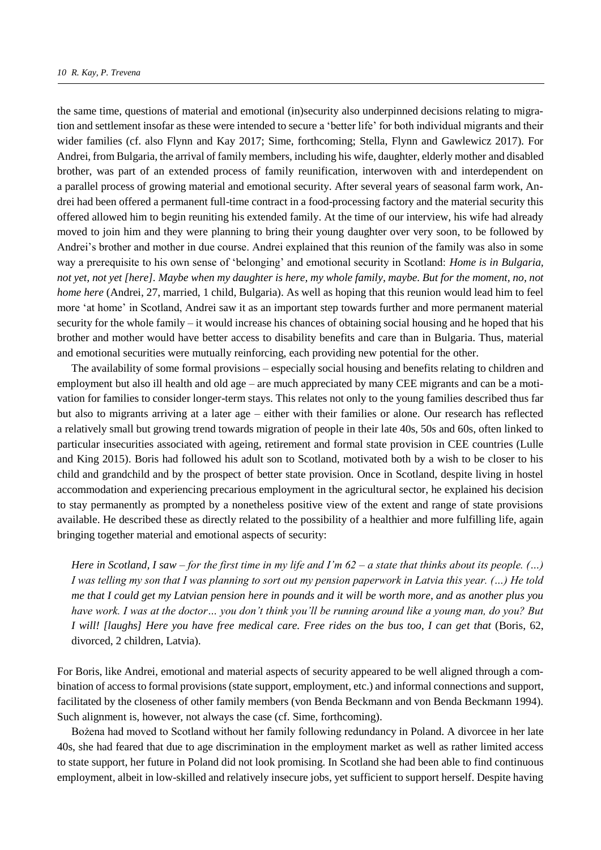the same time, questions of material and emotional (in)security also underpinned decisions relating to migration and settlement insofar as these were intended to secure a 'better life' for both individual migrants and their wider families (cf. also Flynn and Kay 2017; Sime, forthcoming; Stella, Flynn and Gawlewicz 2017). For Andrei, from Bulgaria, the arrival of family members, including his wife, daughter, elderly mother and disabled brother, was part of an extended process of family reunification, interwoven with and interdependent on a parallel process of growing material and emotional security. After several years of seasonal farm work, Andrei had been offered a permanent full-time contract in a food-processing factory and the material security this offered allowed him to begin reuniting his extended family. At the time of our interview, his wife had already moved to join him and they were planning to bring their young daughter over very soon, to be followed by Andrei's brother and mother in due course. Andrei explained that this reunion of the family was also in some way a prerequisite to his own sense of 'belonging' and emotional security in Scotland: *Home is in Bulgaria, not yet, not yet [here]. Maybe when my daughter is here, my whole family, maybe. But for the moment, no, not home here* (Andrei, 27, married, 1 child, Bulgaria). As well as hoping that this reunion would lead him to feel more 'at home' in Scotland, Andrei saw it as an important step towards further and more permanent material security for the whole family – it would increase his chances of obtaining social housing and he hoped that his brother and mother would have better access to disability benefits and care than in Bulgaria. Thus, material and emotional securities were mutually reinforcing, each providing new potential for the other.

The availability of some formal provisions – especially social housing and benefits relating to children and employment but also ill health and old age – are much appreciated by many CEE migrants and can be a motivation for families to consider longer-term stays. This relates not only to the young families described thus far but also to migrants arriving at a later age – either with their families or alone. Our research has reflected a relatively small but growing trend towards migration of people in their late 40s, 50s and 60s, often linked to particular insecurities associated with ageing, retirement and formal state provision in CEE countries (Lulle and King 2015). Boris had followed his adult son to Scotland, motivated both by a wish to be closer to his child and grandchild and by the prospect of better state provision. Once in Scotland, despite living in hostel accommodation and experiencing precarious employment in the agricultural sector, he explained his decision to stay permanently as prompted by a nonetheless positive view of the extent and range of state provisions available. He described these as directly related to the possibility of a healthier and more fulfilling life, again bringing together material and emotional aspects of security:

*Here in Scotland, I saw – for the first time in my life and I'm 62 – a state that thinks about its people. (…) I was telling my son that I was planning to sort out my pension paperwork in Latvia this year. (…) He told me that I could get my Latvian pension here in pounds and it will be worth more, and as another plus you have work. I was at the doctor… you don't think you'll be running around like a young man, do you? But I* will! [laughs] Here you have free medical care. Free rides on the bus too, *I* can get that (Boris, 62, divorced, 2 children, Latvia).

For Boris, like Andrei, emotional and material aspects of security appeared to be well aligned through a combination of access to formal provisions (state support, employment, etc.) and informal connections and support, facilitated by the closeness of other family members (von Benda Beckmann and von Benda Beckmann 1994). Such alignment is, however, not always the case (cf. Sime, forthcoming).

Bożena had moved to Scotland without her family following redundancy in Poland. A divorcee in her late 40s, she had feared that due to age discrimination in the employment market as well as rather limited access to state support, her future in Poland did not look promising. In Scotland she had been able to find continuous employment, albeit in low-skilled and relatively insecure jobs, yet sufficient to support herself. Despite having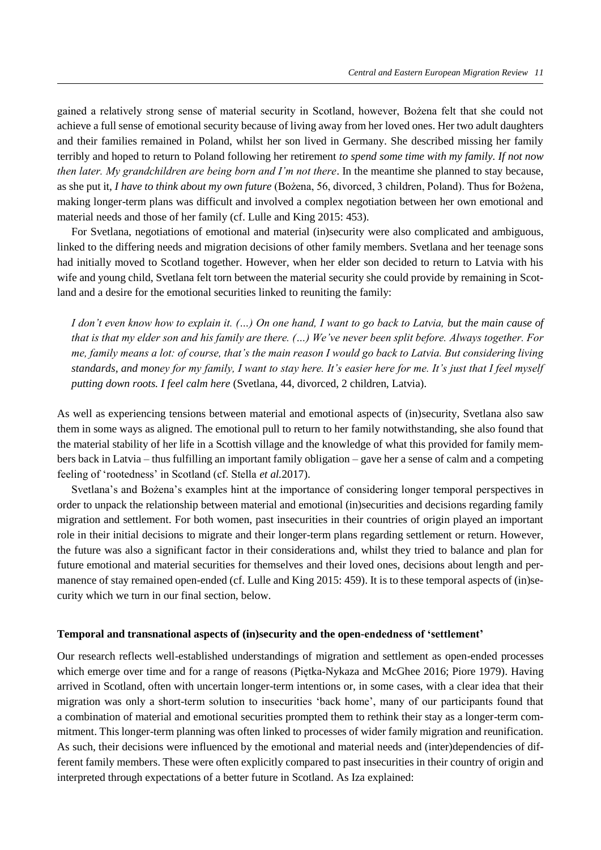gained a relatively strong sense of material security in Scotland, however, Bożena felt that she could not achieve a full sense of emotional security because of living away from her loved ones. Her two adult daughters and their families remained in Poland, whilst her son lived in Germany. She described missing her family terribly and hoped to return to Poland following her retirement *to spend some time with my family. If not now then later. My grandchildren are being born and I'm not there*. In the meantime she planned to stay because, as she put it, *I have to think about my own future* (Bożena, 56, divorced, 3 children, Poland). Thus for Bożena, making longer-term plans was difficult and involved a complex negotiation between her own emotional and material needs and those of her family (cf. Lulle and King 2015: 453).

For Svetlana, negotiations of emotional and material (in)security were also complicated and ambiguous, linked to the differing needs and migration decisions of other family members. Svetlana and her teenage sons had initially moved to Scotland together. However, when her elder son decided to return to Latvia with his wife and young child, Svetlana felt torn between the material security she could provide by remaining in Scotland and a desire for the emotional securities linked to reuniting the family:

*I don't even know how to explain it. (…) On one hand, I want to go back to Latvia, but the main cause of that is that my elder son and his family are there. (…) We've never been split before. Always together. For me, family means a lot: of course, that's the main reason I would go back to Latvia. But considering living standards, and money for my family, I want to stay here. It's easier here for me. It's just that I feel myself putting down roots. I feel calm here* (Svetlana, 44, divorced, 2 children, Latvia).

As well as experiencing tensions between material and emotional aspects of (in)security, Svetlana also saw them in some ways as aligned. The emotional pull to return to her family notwithstanding, she also found that the material stability of her life in a Scottish village and the knowledge of what this provided for family members back in Latvia – thus fulfilling an important family obligation – gave her a sense of calm and a competing feeling of 'rootedness' in Scotland (cf. Stella *et al.*2017).

Svetlana's and Bożena's examples hint at the importance of considering longer temporal perspectives in order to unpack the relationship between material and emotional (in)securities and decisions regarding family migration and settlement. For both women, past insecurities in their countries of origin played an important role in their initial decisions to migrate and their longer-term plans regarding settlement or return. However, the future was also a significant factor in their considerations and, whilst they tried to balance and plan for future emotional and material securities for themselves and their loved ones, decisions about length and permanence of stay remained open-ended (cf. Lulle and King 2015: 459). It is to these temporal aspects of (in)security which we turn in our final section, below.

## **Temporal and transnational aspects of (in)security and the open-endedness of 'settlement'**

Our research reflects well-established understandings of migration and settlement as open-ended processes which emerge over time and for a range of reasons (Piętka-Nykaza and McGhee 2016; Piore 1979). Having arrived in Scotland, often with uncertain longer-term intentions or, in some cases, with a clear idea that their migration was only a short-term solution to insecurities 'back home', many of our participants found that a combination of material and emotional securities prompted them to rethink their stay as a longer-term commitment. This longer-term planning was often linked to processes of wider family migration and reunification. As such, their decisions were influenced by the emotional and material needs and (inter)dependencies of different family members. These were often explicitly compared to past insecurities in their country of origin and interpreted through expectations of a better future in Scotland. As Iza explained: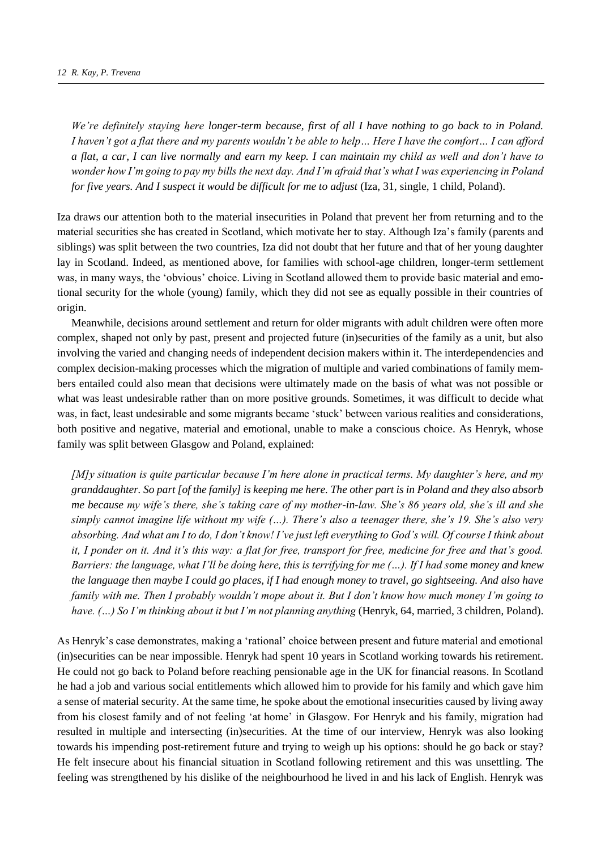*We're definitely staying here longer-term because, first of all I have nothing to go back to in Poland. I haven't got a flat there and my parents wouldn't be able to help… Here I have the comfort… I can afford a flat, a car, I can live normally and earn my keep. I can maintain my child as well and don't have to wonder how I'm going to pay my bills the next day. And I'm afraid that's what I was experiencing in Poland for five years. And I suspect it would be difficult for me to adjust* (Iza, 31, single, 1 child, Poland).

Iza draws our attention both to the material insecurities in Poland that prevent her from returning and to the material securities she has created in Scotland, which motivate her to stay. Although Iza's family (parents and siblings) was split between the two countries, Iza did not doubt that her future and that of her young daughter lay in Scotland. Indeed, as mentioned above, for families with school-age children, longer-term settlement was, in many ways, the 'obvious' choice. Living in Scotland allowed them to provide basic material and emotional security for the whole (young) family, which they did not see as equally possible in their countries of origin.

Meanwhile, decisions around settlement and return for older migrants with adult children were often more complex, shaped not only by past, present and projected future (in)securities of the family as a unit, but also involving the varied and changing needs of independent decision makers within it. The interdependencies and complex decision-making processes which the migration of multiple and varied combinations of family members entailed could also mean that decisions were ultimately made on the basis of what was not possible or what was least undesirable rather than on more positive grounds. Sometimes, it was difficult to decide what was, in fact, least undesirable and some migrants became 'stuck' between various realities and considerations, both positive and negative, material and emotional, unable to make a conscious choice. As Henryk, whose family was split between Glasgow and Poland, explained:

*[M]y situation is quite particular because I'm here alone in practical terms. My daughter's here, and my granddaughter. So part [of the family] is keeping me here. The other part is in Poland and they also absorb me because my wife's there, she's taking care of my mother-in-law. She's 86 years old, she's ill and she simply cannot imagine life without my wife (…). There's also a teenager there, she's 19. She's also very absorbing. And what am I to do, I don't know! I've just left everything to God's will. Of course I think about it, I ponder on it. And it's this way: a flat for free, transport for free, medicine for free and that's good. Barriers: the language, what I'll be doing here, this is terrifying for me (…). If I had some money and knew the language then maybe I could go places, if I had enough money to travel, go sightseeing. And also have family with me. Then I probably wouldn't mope about it. But I don't know how much money I'm going to*  have. (...) So I'm thinking about it but I'm not planning anything (Henryk, 64, married, 3 children, Poland).

As Henryk's case demonstrates, making a 'rational' choice between present and future material and emotional (in)securities can be near impossible. Henryk had spent 10 years in Scotland working towards his retirement. He could not go back to Poland before reaching pensionable age in the UK for financial reasons. In Scotland he had a job and various social entitlements which allowed him to provide for his family and which gave him a sense of material security. At the same time, he spoke about the emotional insecurities caused by living away from his closest family and of not feeling 'at home' in Glasgow. For Henryk and his family, migration had resulted in multiple and intersecting (in)securities. At the time of our interview, Henryk was also looking towards his impending post-retirement future and trying to weigh up his options: should he go back or stay? He felt insecure about his financial situation in Scotland following retirement and this was unsettling. The feeling was strengthened by his dislike of the neighbourhood he lived in and his lack of English. Henryk was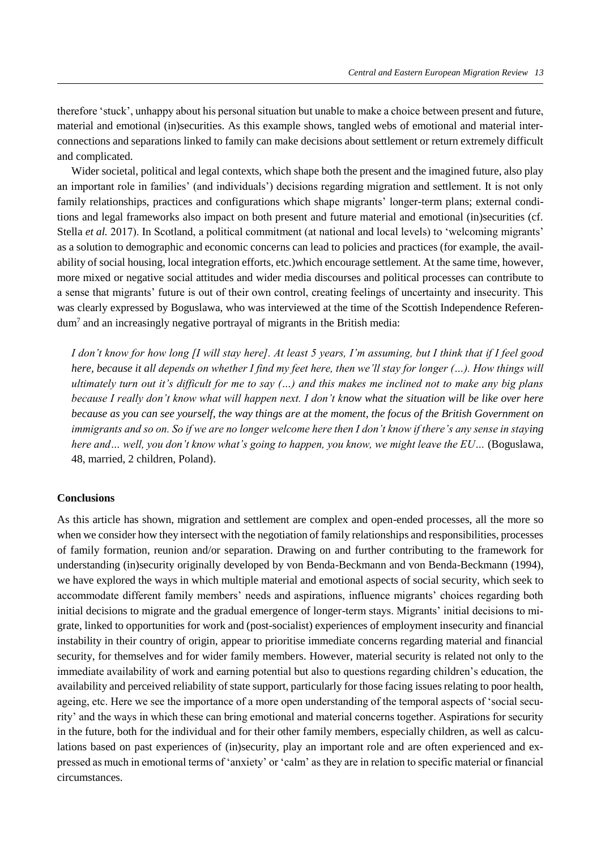therefore 'stuck', unhappy about his personal situation but unable to make a choice between present and future, material and emotional (in)securities. As this example shows, tangled webs of emotional and material interconnections and separations linked to family can make decisions about settlement or return extremely difficult and complicated.

Wider societal, political and legal contexts, which shape both the present and the imagined future, also play an important role in families' (and individuals') decisions regarding migration and settlement. It is not only family relationships, practices and configurations which shape migrants' longer-term plans; external conditions and legal frameworks also impact on both present and future material and emotional (in)securities (cf. Stella *et al.* 2017). In Scotland, a political commitment (at national and local levels) to 'welcoming migrants' as a solution to demographic and economic concerns can lead to policies and practices (for example, the availability of social housing, local integration efforts, etc.)which encourage settlement. At the same time, however, more mixed or negative social attitudes and wider media discourses and political processes can contribute to a sense that migrants' future is out of their own control, creating feelings of uncertainty and insecurity. This was clearly expressed by Boguslawa, who was interviewed at the time of the Scottish Independence Referendum<sup>7</sup> and an increasingly negative portrayal of migrants in the British media:

*I don't know for how long [I will stay here]. At least 5 years, I'm assuming, but I think that if I feel good here, because it all depends on whether I find my feet here, then we'll stay for longer (...). How things will ultimately turn out it's difficult for me to say (…) and this makes me inclined not to make any big plans because I really don't know what will happen next. I don't know what the situation will be like over here because as you can see yourself, the way things are at the moment, the focus of the British Government on immigrants and so on. So if we are no longer welcome here then I don't know if there's any sense in staying here and… well, you don't know what's going to happen, you know, we might leave the EU…* (Boguslawa, 48, married, 2 children, Poland).

## **Conclusions**

As this article has shown, migration and settlement are complex and open-ended processes, all the more so when we consider how they intersect with the negotiation of family relationships and responsibilities, processes of family formation, reunion and/or separation. Drawing on and further contributing to the framework for understanding (in)security originally developed by von Benda-Beckmann and von Benda-Beckmann (1994), we have explored the ways in which multiple material and emotional aspects of social security, which seek to accommodate different family members' needs and aspirations, influence migrants' choices regarding both initial decisions to migrate and the gradual emergence of longer-term stays. Migrants' initial decisions to migrate, linked to opportunities for work and (post-socialist) experiences of employment insecurity and financial instability in their country of origin, appear to prioritise immediate concerns regarding material and financial security, for themselves and for wider family members. However, material security is related not only to the immediate availability of work and earning potential but also to questions regarding children's education, the availability and perceived reliability of state support, particularly for those facing issues relating to poor health, ageing, etc. Here we see the importance of a more open understanding of the temporal aspects of 'social security' and the ways in which these can bring emotional and material concerns together. Aspirations for security in the future, both for the individual and for their other family members, especially children, as well as calculations based on past experiences of (in)security, play an important role and are often experienced and expressed as much in emotional terms of 'anxiety' or 'calm' as they are in relation to specific material or financial circumstances.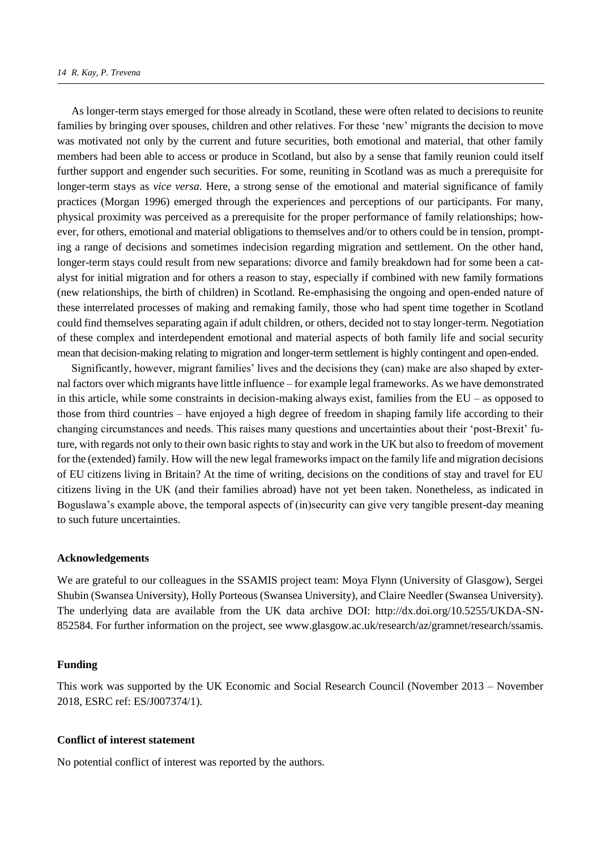As longer-term stays emerged for those already in Scotland, these were often related to decisions to reunite families by bringing over spouses, children and other relatives. For these 'new' migrants the decision to move was motivated not only by the current and future securities, both emotional and material, that other family members had been able to access or produce in Scotland, but also by a sense that family reunion could itself further support and engender such securities. For some, reuniting in Scotland was as much a prerequisite for longer-term stays as *vice versa*. Here, a strong sense of the emotional and material significance of family practices (Morgan 1996) emerged through the experiences and perceptions of our participants. For many, physical proximity was perceived as a prerequisite for the proper performance of family relationships; however, for others, emotional and material obligations to themselves and/or to others could be in tension, prompting a range of decisions and sometimes indecision regarding migration and settlement. On the other hand, longer-term stays could result from new separations: divorce and family breakdown had for some been a catalyst for initial migration and for others a reason to stay, especially if combined with new family formations (new relationships, the birth of children) in Scotland. Re-emphasising the ongoing and open-ended nature of these interrelated processes of making and remaking family, those who had spent time together in Scotland could find themselves separating again if adult children, or others, decided not to stay longer-term. Negotiation of these complex and interdependent emotional and material aspects of both family life and social security mean that decision-making relating to migration and longer-term settlement is highly contingent and open-ended.

Significantly, however, migrant families' lives and the decisions they (can) make are also shaped by external factors over which migrants have little influence – for example legal frameworks. As we have demonstrated in this article, while some constraints in decision-making always exist, families from the EU – as opposed to those from third countries – have enjoyed a high degree of freedom in shaping family life according to their changing circumstances and needs. This raises many questions and uncertainties about their 'post-Brexit' future, with regards not only to their own basic rights to stay and work in the UK but also to freedom of movement for the (extended) family. How will the new legal frameworks impact on the family life and migration decisions of EU citizens living in Britain? At the time of writing, decisions on the conditions of stay and travel for EU citizens living in the UK (and their families abroad) have not yet been taken. Nonetheless, as indicated in Boguslawa's example above, the temporal aspects of (in)security can give very tangible present-day meaning to such future uncertainties.

#### **Acknowledgements**

We are grateful to our colleagues in the SSAMIS project team: Moya Flynn (University of Glasgow), Sergei Shubin (Swansea University), Holly Porteous (Swansea University), and Claire Needler (Swansea University). The underlying data are available from the UK data archive DOI: http://dx.doi.org/10.5255/UKDA-SN-852584. For further information on the project, see www.glasgow.ac.uk/research/az/gramnet/research/ssamis.

## **Funding**

This work was supported by the UK Economic and Social Research Council (November 2013 – November 2018, ESRC ref: ES/J007374/1).

### **Conflict of interest statement**

No potential conflict of interest was reported by the authors.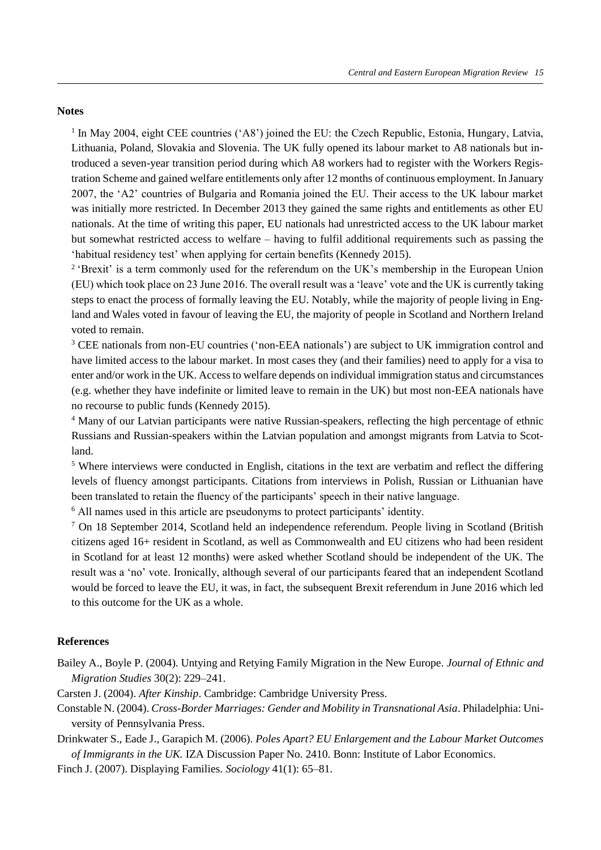## **Notes**

<sup>1</sup> In May 2004, eight CEE countries ('A8') joined the EU: the Czech Republic, Estonia, Hungary, Latvia, Lithuania, Poland, Slovakia and Slovenia. The UK fully opened its labour market to A8 nationals but introduced a seven-year transition period during which A8 workers had to register with the Workers Registration Scheme and gained welfare entitlements only after 12 months of continuous employment. In January 2007, the 'A2' countries of Bulgaria and Romania joined the EU. Their access to the UK labour market was initially more restricted. In December 2013 they gained the same rights and entitlements as other EU nationals. At the time of writing this paper, EU nationals had unrestricted access to the UK labour market but somewhat restricted access to welfare – having to fulfil additional requirements such as passing the 'habitual residency test' when applying for certain benefits (Kennedy 2015).

<sup>2</sup> 'Brexit' is a term commonly used for the referendum on the UK's membership in the European Union (EU) which took place on 23 June 2016. The overall result was a 'leave' vote and the UK is currently taking steps to enact the process of formally leaving the EU. Notably, while the majority of people living in England and Wales voted in favour of leaving the EU, the majority of people in Scotland and Northern Ireland voted to remain.

<sup>3</sup> CEE nationals from non-EU countries ('non-EEA nationals') are subject to UK immigration control and have limited access to the labour market. In most cases they (and their families) need to apply for a visa to enter and/or work in the UK. Access to welfare depends on individual immigration status and circumstances (e.g. whether they have indefinite or limited leave to remain in the UK) but most non-EEA nationals have no recourse to public funds (Kennedy 2015).

<sup>4</sup> Many of our Latvian participants were native Russian-speakers, reflecting the high percentage of ethnic Russians and Russian-speakers within the Latvian population and amongst migrants from Latvia to Scotland.

<sup>5</sup> Where interviews were conducted in English, citations in the text are verbatim and reflect the differing levels of fluency amongst participants. Citations from interviews in Polish, Russian or Lithuanian have been translated to retain the fluency of the participants' speech in their native language.

<sup>6</sup> All names used in this article are pseudonyms to protect participants' identity.

<sup>7</sup> On 18 September 2014, Scotland held an independence referendum. People living in Scotland (British citizens aged 16+ resident in Scotland, as well as Commonwealth and EU citizens who had been resident in Scotland for at least 12 months) were asked whether Scotland should be independent of the UK. The result was a 'no' vote. Ironically, although several of our participants feared that an independent Scotland would be forced to leave the EU, it was, in fact, the subsequent Brexit referendum in June 2016 which led to this outcome for the UK as a whole.

## **References**

Bailey A., Boyle P. (2004). Untying and Retying Family Migration in the New Europe. *Journal of Ethnic and Migration Studies* 30(2): 229–241.

Carsten J. (2004). *After Kinship*. Cambridge: Cambridge University Press.

Constable N. (2004). *Cross-Border Marriages: Gender and Mobility in Transnational Asia*. Philadelphia: University of Pennsylvania Press.

Drinkwater S., Eade J., Garapich M. (2006). *Poles Apart? EU Enlargement and the Labour Market Outcomes of Immigrants in the UK.* IZA Discussion Paper No. 2410. Bonn: Institute of Labor Economics.

Finch J. (2007). Displaying Families. *Sociology* 41(1): 65–81.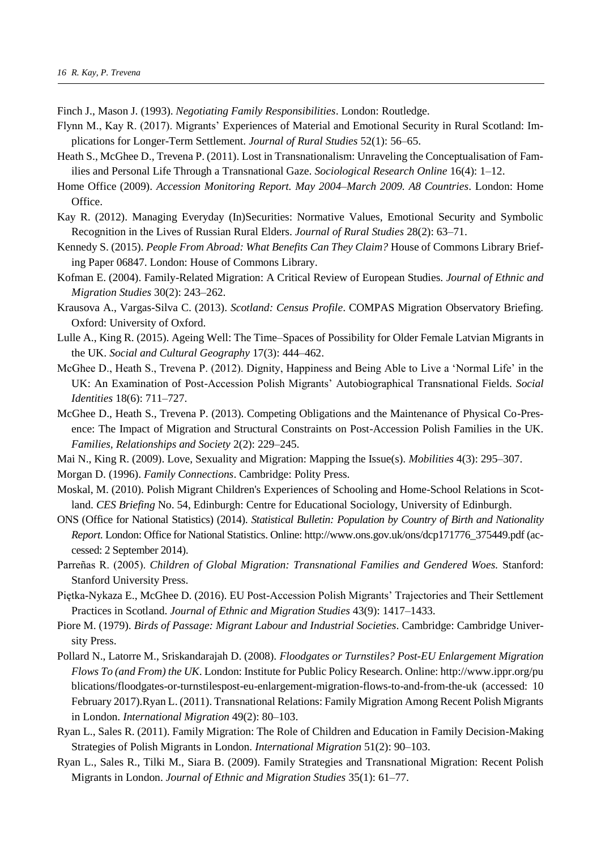Finch J., Mason J. (1993). *Negotiating Family Responsibilities*. London: Routledge.

- Flynn M., Kay R. (2017). Migrants' Experiences of Material and Emotional Security in Rural Scotland: Implications for Longer-Term Settlement. *Journal of Rural Studies* 52(1): 56–65.
- Heath S., McGhee D., Trevena P. (2011). Lost in Transnationalism: Unraveling the Conceptualisation of Families and Personal Life Through a Transnational Gaze. *Sociological Research Online* 16(4): 1–12.
- Home Office (2009). *Accession Monitoring Report. May 2004–March 2009. A8 Countries*. London: Home Office.
- Kay R. (2012). Managing Everyday (In)Securities: Normative Values, Emotional Security and Symbolic Recognition in the Lives of Russian Rural Elders. *Journal of Rural Studies* 28(2): 63–71.
- Kennedy S. (2015). *People From Abroad: What Benefits Can They Claim?* House of Commons Library Briefing Paper 06847. London: House of Commons Library.
- Kofman E. (2004). Family-Related Migration: A Critical Review of European Studies. *Journal of Ethnic and Migration Studies* 30(2): 243–262.
- Krausova A., Vargas-Silva C. (2013). *Scotland: Census Profile*. COMPAS Migration Observatory Briefing. Oxford: University of Oxford.
- Lulle A., King R. (2015). Ageing Well: The Time–Spaces of Possibility for Older Female Latvian Migrants in the UK. *Social and Cultural Geography* 17(3): 444–462.
- McGhee D., Heath S., Trevena P. (2012). Dignity, Happiness and Being Able to Live a 'Normal Life' in the UK: An Examination of Post-Accession Polish Migrants' Autobiographical Transnational Fields. *Social Identities* 18(6): 711–727.
- McGhee D., Heath S., Trevena P. (2013). Competing Obligations and the Maintenance of Physical Co-Presence: The Impact of Migration and Structural Constraints on Post-Accession Polish Families in the UK. *Families, Relationships and Society* 2(2): 229–245.
- Mai N., King R. (2009). Love, Sexuality and Migration: Mapping the Issue(s). *Mobilities* 4(3): 295–307.
- Morgan D. (1996). *Family Connections*. Cambridge: Polity Press.
- Moskal, M. (2010). Polish Migrant Children's Experiences of Schooling and Home-School Relations in Scotland. *CES Briefing* No. 54, Edinburgh: Centre for Educational Sociology, University of Edinburgh.
- ONS (Office for National Statistics) (2014). *Statistical Bulletin: Population by Country of Birth and Nationality Report.* London: Office for National Statistics. Online: http://www.ons.gov.uk/ons/dcp171776\_375449.pdf (accessed: 2 September 2014).
- Parreñas R. (2005). *Children of Global Migration: Transnational Families and Gendered Woes.* Stanford: Stanford University Press.
- Piętka-Nykaza E., McGhee D. (2016). EU Post-Accession Polish Migrants' Trajectories and Their Settlement Practices in Scotland. *Journal of Ethnic and Migration Studies* 43(9): 1417–1433.
- Piore M. (1979). *Birds of Passage: Migrant Labour and Industrial Societies*. Cambridge: Cambridge University Press.
- Pollard N., Latorre M., Sriskandarajah D. (2008). *Floodgates or Turnstiles? Post-EU Enlargement Migration Flows To (and From) the UK*. London: Institute for Public Policy Research. Online: http://www.ippr.org/pu blications/floodgates-or-turnstilespost-eu-enlargement-migration-flows-to-and-from-the-uk (accessed: 10 February 2017).Ryan L. (2011). Transnational Relations: Family Migration Among Recent Polish Migrants in London. *International Migration* 49(2): 80–103.
- Ryan L., Sales R. (2011). Family Migration: The Role of Children and Education in Family Decision-Making Strategies of Polish Migrants in London. *International Migration* 51(2): 90–103.
- Ryan L., Sales R., Tilki M., Siara B. (2009). Family Strategies and Transnational Migration: Recent Polish Migrants in London. *Journal of Ethnic and Migration Studies* 35(1): 61–77.